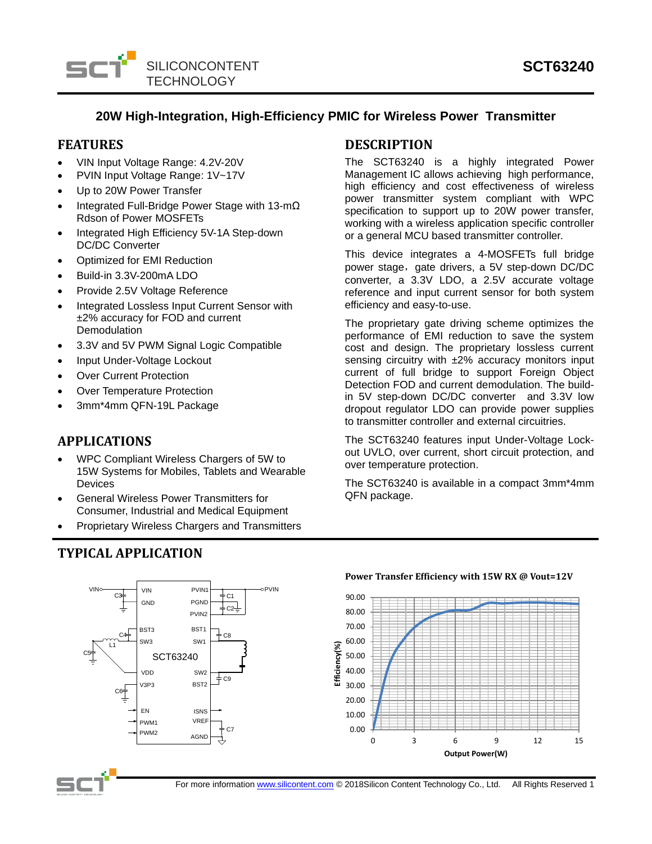

# **20W High-Integration, High-Efficiency PMIC for Wireless Power Transmitter**

### **FEATURES**

- VIN Input Voltage Range: 4.2V-20V
- PVIN Input Voltage Range: 1V~17V
- Up to 20W Power Transfer
- Integrated Full-Bridge Power Stage with 13-mΩ Rdson of Power MOSFETs
- Integrated High Efficiency 5V-1A Step-down DC/DC Converter
- Optimized for EMI Reduction
- Build-in 3.3V-200mA LDO
- Provide 2.5V Voltage Reference
- Integrated Lossless Input Current Sensor with ±2% accuracy for FOD and current **Demodulation**
- 3.3V and 5V PWM Signal Logic Compatible
- Input Under-Voltage Lockout
- **Over Current Protection**
- Over Temperature Protection
- 3mm\*4mm QFN-19L Package

# **APPLICATIONS**

- WPC Compliant Wireless Chargers of 5W to 15W Systems for Mobiles, Tablets and Wearable Devices
- General Wireless Power Transmitters for Consumer, Industrial and Medical Equipment
- Proprietary Wireless Chargers and Transmitters

BST<sub>1</sub> SW1

**PGND** 

 $\downarrow$  c2-

 $+$  C8

 $+$  C9

C7

**PVIN**2

PVIN1

SW2 BST<sub>2</sub>

AGND VREF

# **TYPICAL APPLICATION**

 $C_4$ L1

 $C6<sup>\frac{1}{1}</sup>$ 

BST3 SW3

GND VIN

 $VIN^{\circ}$  C3 VIN PVIN1  $\frac{1}{\pm C1}$ 

VDD

V3P3

PWM1

EN

EN ISNS<br>PWM1 <sup>VREF</sup><br>PWM2 ACND

SCT63240

# **DESCRIPTION**

The SCT63240 is a highly integrated Power Management IC allows achieving high performance, high efficiency and cost effectiveness of wireless power transmitter system compliant with WPC specification to support up to 20W power transfer, working with a wireless application specific controller or a general MCU based transmitter controller.

This device integrates a 4-MOSFETs full bridge power stage, gate drivers, a 5V step-down DC/DC converter, a 3.3V LDO, a 2.5V accurate voltage reference and input current sensor for both system efficiency and easy-to-use.

The proprietary gate driving scheme optimizes the performance of EMI reduction to save the system cost and design. The proprietary lossless current sensing circuitry with  $±2\%$  accuracy monitors input current of full bridge to support Foreign Object Detection FOD and current demodulation. The buildin 5V step-down DC/DC converter and 3.3V low dropout regulator LDO can provide power supplies to transmitter controller and external circuitries.

The SCT63240 features input Under-Voltage Lockout UVLO, over current, short circuit protection, and over temperature protection.

The SCT63240 is available in a compact 3mm\*4mm QFN package.



# **POWER Transfer Efficiency with 15W RX @ Vout=12V**



C5

For more informatio[n www.silicontent.com](http://www.silicontent.com/) © 2018Silicon Content Technology Co., Ltd. All Rights Reserved 1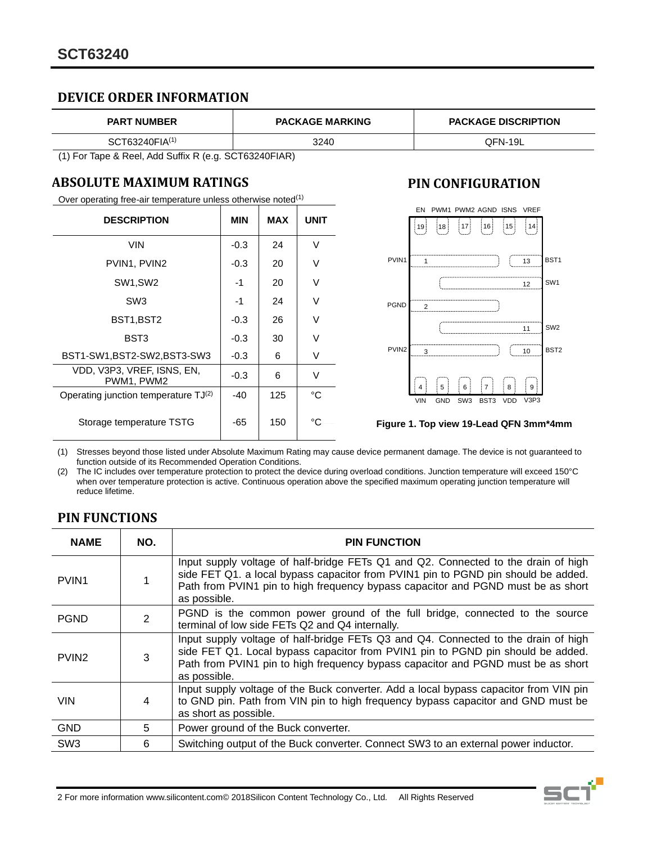# **DEVICE ORDER INFORMATION**

| <b>PART NUMBER</b>         | <b>PACKAGE MARKING</b> | <b>PACKAGE DISCRIPTION</b> |  |
|----------------------------|------------------------|----------------------------|--|
| SCT63240FIA <sup>(1)</sup> | 3240                   | OFN-19L                    |  |

(1) For Tape & Reel, Add Suffix R (e.g. SCT63240FIAR)

# **ABSOLUTE MAXIMUM RATINGS**

Over operating free-air temperature unless otherwise noted<sup>(1)</sup>

| <b>DESCRIPTION</b>                        | <b>MIN</b> | <b>MAX</b> | <b>UNIT</b> |
|-------------------------------------------|------------|------------|-------------|
| VIN                                       | $-0.3$     | 24         | V           |
| PVIN1, PVIN2                              | $-0.3$     | 20         | ٧           |
| SW1,SW2                                   | -1         | 20         | ٧           |
| SW <sub>3</sub>                           | -1         | 24         | V           |
| BST1,BST2                                 | $-0.3$     | 26         | ٧           |
| BST3                                      | $-0.3$     | 30         | V           |
| BST1-SW1, BST2-SW2, BST3-SW3              | $-0.3$     | 6          | V           |
| VDD, V3P3, VREF, ISNS, EN,<br>PWM1. PWM2  | $-0.3$     | 6          | V           |
| Operating junction temperature $TJ^{(2)}$ | $-40$      | 125        | °C          |
| Storage temperature TSTG                  | -65        | 150        | °C          |

# **PIN CONFIGURATION**



#### **Figure 1. Top view 19-Lead QFN 3mm\*4mm**

(1) Stresses beyond those listed under Absolute Maximum Rating may cause device permanent damage. The device is not guaranteed to function outside of its Recommended Operation Conditions.

(2) The IC includes over temperature protection to protect the device during overload conditions. Junction temperature will exceed 150°C when over temperature protection is active. Continuous operation above the specified maximum operating junction temperature will reduce lifetime.

# **PIN FUNCTIONS**

| <b>NAME</b>       | NO.            | <b>PIN FUNCTION</b>                                                                                                                                                                                                                                                         |
|-------------------|----------------|-----------------------------------------------------------------------------------------------------------------------------------------------------------------------------------------------------------------------------------------------------------------------------|
| PVIN <sub>1</sub> |                | Input supply voltage of half-bridge FETs Q1 and Q2. Connected to the drain of high<br>side FET Q1. a local bypass capacitor from PVIN1 pin to PGND pin should be added.<br>Path from PVIN1 pin to high frequency bypass capacitor and PGND must be as short<br>as possible. |
| <b>PGND</b>       | $\overline{2}$ | PGND is the common power ground of the full bridge, connected to the source<br>terminal of low side FETs Q2 and Q4 internally.                                                                                                                                              |
| PVIN <sub>2</sub> | 3              | Input supply voltage of half-bridge FETs Q3 and Q4. Connected to the drain of high<br>side FET Q1. Local bypass capacitor from PVIN1 pin to PGND pin should be added.<br>Path from PVIN1 pin to high frequency bypass capacitor and PGND must be as short<br>as possible.   |
| <b>VIN</b>        | 4              | Input supply voltage of the Buck converter. Add a local bypass capacitor from VIN pin<br>to GND pin. Path from VIN pin to high frequency bypass capacitor and GND must be<br>as short as possible.                                                                          |
| <b>GND</b>        | 5              | Power ground of the Buck converter.                                                                                                                                                                                                                                         |
| SW <sub>3</sub>   | 6              | Switching output of the Buck converter. Connect SW3 to an external power inductor.                                                                                                                                                                                          |

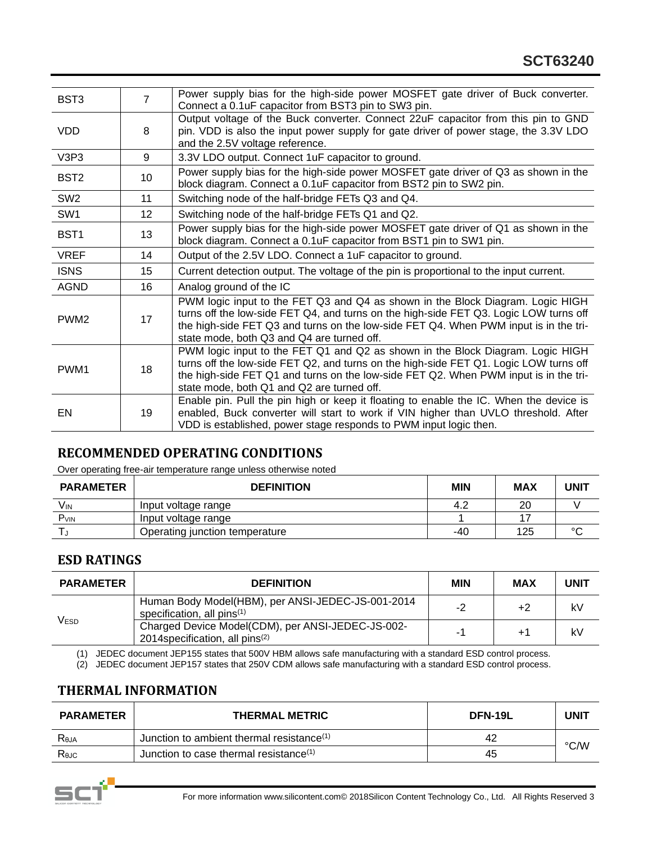| BST <sub>3</sub> | $\overline{7}$  | Power supply bias for the high-side power MOSFET gate driver of Buck converter.<br>Connect a 0.1uF capacitor from BST3 pin to SW3 pin.                                                                                                                                                                        |
|------------------|-----------------|---------------------------------------------------------------------------------------------------------------------------------------------------------------------------------------------------------------------------------------------------------------------------------------------------------------|
| <b>VDD</b>       | 8               | Output voltage of the Buck converter. Connect 22uF capacitor from this pin to GND<br>pin. VDD is also the input power supply for gate driver of power stage, the 3.3V LDO<br>and the 2.5V voltage reference.                                                                                                  |
| V3P3             | 9               | 3.3V LDO output. Connect 1uF capacitor to ground.                                                                                                                                                                                                                                                             |
| BST <sub>2</sub> | 10              | Power supply bias for the high-side power MOSFET gate driver of Q3 as shown in the<br>block diagram. Connect a 0.1uF capacitor from BST2 pin to SW2 pin.                                                                                                                                                      |
| SW <sub>2</sub>  | 11              | Switching node of the half-bridge FETs Q3 and Q4.                                                                                                                                                                                                                                                             |
| SW <sub>1</sub>  | 12 <sup>2</sup> | Switching node of the half-bridge FETs Q1 and Q2.                                                                                                                                                                                                                                                             |
| BST <sub>1</sub> | 13              | Power supply bias for the high-side power MOSFET gate driver of Q1 as shown in the<br>block diagram. Connect a 0.1uF capacitor from BST1 pin to SW1 pin.                                                                                                                                                      |
| <b>VREF</b>      | 14              | Output of the 2.5V LDO. Connect a 1uF capacitor to ground.                                                                                                                                                                                                                                                    |
| <b>ISNS</b>      | 15              | Current detection output. The voltage of the pin is proportional to the input current.                                                                                                                                                                                                                        |
| <b>AGND</b>      | 16              | Analog ground of the IC                                                                                                                                                                                                                                                                                       |
| PWM <sub>2</sub> | 17              | PWM logic input to the FET Q3 and Q4 as shown in the Block Diagram. Logic HIGH<br>turns off the low-side FET Q4, and turns on the high-side FET Q3. Logic LOW turns off<br>the high-side FET Q3 and turns on the low-side FET Q4. When PWM input is in the tri-<br>state mode, both Q3 and Q4 are turned off. |
| PWM <sub>1</sub> | 18              | PWM logic input to the FET Q1 and Q2 as shown in the Block Diagram. Logic HIGH<br>turns off the low-side FET Q2, and turns on the high-side FET Q1. Logic LOW turns off<br>the high-side FET Q1 and turns on the low-side FET Q2. When PWM input is in the tri-<br>state mode, both Q1 and Q2 are turned off. |
| EN               | 19              | Enable pin. Pull the pin high or keep it floating to enable the IC. When the device is<br>enabled, Buck converter will start to work if VIN higher than UVLO threshold. After<br>VDD is established, power stage responds to PWM input logic then.                                                            |

# **RECOMMENDED OPERATING CONDITIONS**

Over operating free-air temperature range unless otherwise noted

| <b>PARAMETER</b> | <b>DEFINITION</b>              | MIN | MAX | UNIT   |
|------------------|--------------------------------|-----|-----|--------|
| V <sub>IN</sub>  | Input voltage range            | 4.2 | 20  |        |
| P <sub>VIN</sub> | Input voltage range            |     |     |        |
|                  | Operating junction temperature | -40 | 125 | $\sim$ |

# **ESD RATINGS**

| <b>PARAMETER</b> | <b>DEFINITION</b>                                                                                | <b>MIN</b> | <b>MAX</b> | <b>UNIT</b> |
|------------------|--------------------------------------------------------------------------------------------------|------------|------------|-------------|
| <b>VESD</b>      | Human Body Model(HBM), per ANSI-JEDEC-JS-001-2014<br>specification, all pins <sup>(1)</sup>      | -2         | +2         | kV          |
|                  | Charged Device Model(CDM), per ANSI-JEDEC-JS-002-<br>2014 specification, all pins <sup>(2)</sup> | $-1$       | $+1$       | kV          |

(1) JEDEC document JEP155 states that 500V HBM allows safe manufacturing with a standard ESD control process.

(2) JEDEC document JEP157 states that 250V CDM allows safe manufacturing with a standard ESD control process.

### **THERMAL INFORMATION**

| <b>PARAMETER</b> | <b>THERMAL METRIC</b>                                 | DFN-19L | UNIT |
|------------------|-------------------------------------------------------|---------|------|
| Reja             | Junction to ambient thermal resistance <sup>(1)</sup> | 42      | °C/W |
| Rejc             | Junction to case thermal resistance <sup>(1)</sup>    | 45      |      |

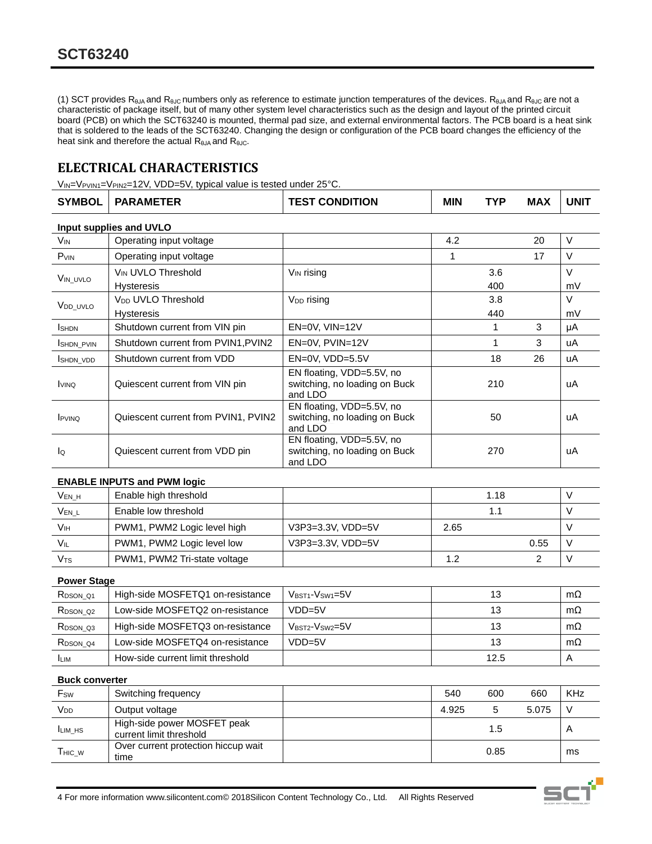(1) SCT provides  $R_{\theta JA}$  and  $R_{\theta JC}$  numbers only as reference to estimate junction temperatures of the devices.  $R_{\theta JA}$  and  $R_{\theta JC}$  are not a characteristic of package itself, but of many other system level characteristics such as the design and layout of the printed circuit board (PCB) on which the SCT63240 is mounted, thermal pad size, and external environmental factors. The PCB board is a heat sink that is soldered to the leads of the SCT63240. Changing the design or configuration of the PCB board changes the efficiency of the heat sink and therefore the actual  $R_{\theta JA}$  and  $R_{\theta JC}$ .

# **ELECTRICAL CHARACTERISTICS**

V<sub>IN</sub>=V<sub>PVIN1</sub>=V<sub>PIN2</sub>=12V, VDD=5V, typical value is tested under 25°C.

| <b>SYMBOL</b>                    | <b>PARAMETER</b>                    | <b>TEST CONDITION</b>                                                 | MIN  | <b>TYP</b>   | <b>MAX</b>     | <b>UNIT</b> |  |  |
|----------------------------------|-------------------------------------|-----------------------------------------------------------------------|------|--------------|----------------|-------------|--|--|
|                                  | Input supplies and UVLO             |                                                                       |      |              |                |             |  |  |
| <b>V<sub>IN</sub></b>            | Operating input voltage             |                                                                       | 4.2  |              | 20             | $\vee$      |  |  |
| $P_{VIN}$                        | Operating input voltage             |                                                                       | 1    |              | 17             | $\vee$      |  |  |
| VIN_UVLO                         | V <sub>IN</sub> UVLO Threshold      | V <sub>IN</sub> rising                                                |      | 3.6          |                | $\vee$      |  |  |
|                                  | <b>Hysteresis</b>                   |                                                                       |      | 400          |                | mV          |  |  |
| V <sub>DD</sub> UVLO             | V <sub>DD</sub> UVLO Threshold      | V <sub>DD</sub> rising                                                |      | 3.8          |                | $\vee$      |  |  |
|                                  | Hysteresis                          |                                                                       |      | 440          |                | mV          |  |  |
| <b>I</b> SHDN                    | Shutdown current from VIN pin       | EN=0V, VIN=12V                                                        |      | $\mathbf{1}$ | 3              | μA          |  |  |
| <b>ISHDN PVIN</b>                | Shutdown current from PVIN1, PVIN2  | EN=0V, PVIN=12V                                                       |      | $\mathbf{1}$ | 3              | uA          |  |  |
| <b>ISHDN VDD</b>                 | Shutdown current from VDD           | EN=0V, VDD=5.5V                                                       |      | 18           | 26             | uA          |  |  |
| <b>I</b> VINQ                    | Quiescent current from VIN pin      | EN floating, VDD=5.5V, no<br>switching, no loading on Buck<br>and LDO |      | 210          |                | uA          |  |  |
| <b>IPVINQ</b>                    | Quiescent current from PVIN1, PVIN2 | EN floating, VDD=5.5V, no<br>switching, no loading on Buck<br>and LDO |      | 50           |                | uA          |  |  |
| lo                               | Quiescent current from VDD pin      | EN floating, VDD=5.5V, no<br>switching, no loading on Buck<br>and LDO |      | 270          |                | uA          |  |  |
|                                  | <b>ENABLE INPUTS and PWM logic</b>  |                                                                       |      |              |                |             |  |  |
| $V_{EN_H}$                       | Enable high threshold               |                                                                       |      | 1.18         |                | $\vee$      |  |  |
| $V_{EN\_L}$                      | Enable low threshold                |                                                                       |      | 1.1          |                | V           |  |  |
| <b>V<sub>IH</sub></b>            | PWM1, PWM2 Logic level high         | V3P3=3.3V, VDD=5V                                                     | 2.65 |              |                | V           |  |  |
| VIL                              | PWM1, PWM2 Logic level low          | V3P3=3.3V, VDD=5V                                                     |      |              | 0.55           | $\vee$      |  |  |
| V <sub>TS</sub>                  | PWM1, PWM2 Tri-state voltage        |                                                                       | 1.2  |              | $\overline{2}$ | $\vee$      |  |  |
| <b>Power Stage</b>               |                                     |                                                                       |      |              |                |             |  |  |
| RDSON Q1                         | High-side MOSFETQ1 on-resistance    | VBST1-VSW1=5V                                                         |      | 13           |                | $m\Omega$   |  |  |
| R <sub>DSON</sub> Q <sub>2</sub> | Low-side MOSFETQ2 on-resistance     | $VDD=5V$                                                              |      | 13           |                | $m\Omega$   |  |  |
| R <sub>DSON</sub> Q <sub>3</sub> | High-side MOSFETQ3 on-resistance    | $VBST2-VSW2=5V$                                                       |      | 13           |                | $m\Omega$   |  |  |
| R <sub>DSON</sub> Q <sub>4</sub> | Low-side MOSFETQ4 on-resistance     | $VDD=5V$                                                              |      | 13           |                | $m\Omega$   |  |  |
| <b>I</b> LIM                     | How-side current limit threshold    |                                                                       |      | 12.5         |                | A           |  |  |
|                                  |                                     |                                                                       |      |              |                |             |  |  |
| <b>Buck converter</b>            |                                     |                                                                       |      |              |                |             |  |  |
| $F_{SW}$                         | Switching frequency                 |                                                                       | 540  | 600          | 660            | <b>KHz</b>  |  |  |
|                                  |                                     |                                                                       |      |              |                |             |  |  |

| Fsw             | Switching frequency                                    | 540   | 600  | 660   | KHz |
|-----------------|--------------------------------------------------------|-------|------|-------|-----|
| V <sub>DD</sub> | Output voltage                                         | 4.925 |      | 5.075 |     |
| <b>I</b> LIM HS | High-side power MOSFET peak<br>current limit threshold |       | 1.5  |       |     |
| Tнıс w          | Over current protection hiccup wait<br>time            |       | 0.85 |       | ms  |

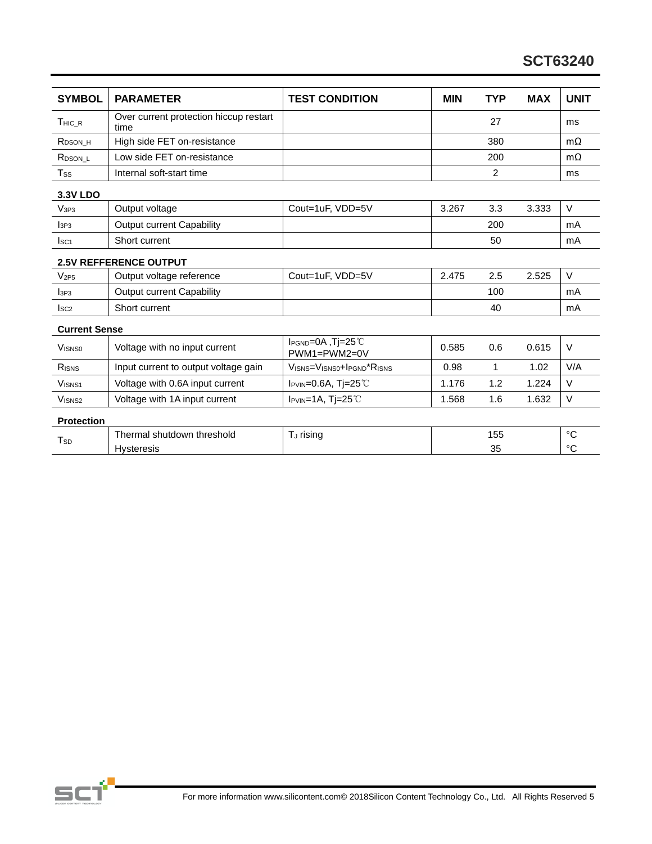| <b>SYMBOL</b>        | <b>PARAMETER</b>                               | <b>TEST CONDITION</b>                 | <b>MIN</b> | <b>TYP</b>     | <b>MAX</b> | <b>UNIT</b> |
|----------------------|------------------------------------------------|---------------------------------------|------------|----------------|------------|-------------|
| THIC R               | Over current protection hiccup restart<br>time |                                       |            | 27             |            | ms          |
| R <sub>DSON</sub> H  | High side FET on-resistance                    |                                       |            | 380            |            | $m\Omega$   |
| R <sub>DSON</sub> L  | Low side FET on-resistance                     |                                       |            | 200            |            | $m\Omega$   |
| $T_{SS}$             | Internal soft-start time                       |                                       |            | $\overline{2}$ |            | ms          |
| <b>3.3V LDO</b>      |                                                |                                       |            |                |            |             |
| V <sub>3P3</sub>     | Output voltage                                 | Cout=1uF, VDD=5V                      | 3.267      | 3.3            | 3.333      | V           |
| I <sub>3P3</sub>     | <b>Output current Capability</b>               |                                       |            | 200            |            | mA          |
| I <sub>SC1</sub>     | Short current                                  |                                       |            | 50             |            | mA          |
|                      | <b>2.5V REFFERENCE OUTPUT</b>                  |                                       |            |                |            |             |
| V <sub>2P5</sub>     | Output voltage reference                       | Cout=1uF, VDD=5V                      | 2.475      | 2.5            | 2.525      | V           |
| 1 <sub>3P3</sub>     | <b>Output current Capability</b>               |                                       |            | 100            |            | mA          |
| I <sub>SC2</sub>     | Short current                                  |                                       |            | 40             |            | mA          |
| <b>Current Sense</b> |                                                |                                       |            |                |            |             |
| <b>VISNS0</b>        | Voltage with no input current                  | IPGND=0A, Tj=25℃<br>PWM1=PWM2=0V      | 0.585      | 0.6            | 0.615      | V           |
| RISNS                | Input current to output voltage gain           | VISNS=VISNS0+IPGND <sup>*</sup> RISNS | 0.98       | 1              | 1.02       | V/A         |
| VISN <sub>S1</sub>   | Voltage with 0.6A input current                | $I_{PVIN} = 0.6A$ , Tj=25°C           | 1.176      | 1.2            | 1.224      | V           |
| V <sub>ISNS2</sub>   | Voltage with 1A input current                  | I <sub>PVIN</sub> =1A, Tj=25℃         | 1.568      | 1.6            | 1.632      | $\vee$      |
| <b>Protection</b>    |                                                |                                       |            |                |            |             |
| T <sub>SD</sub>      | Thermal shutdown threshold                     | T <sub>J</sub> rising                 |            | 155            |            | °C          |
|                      | <b>Hysteresis</b>                              |                                       |            | 35             |            | °C          |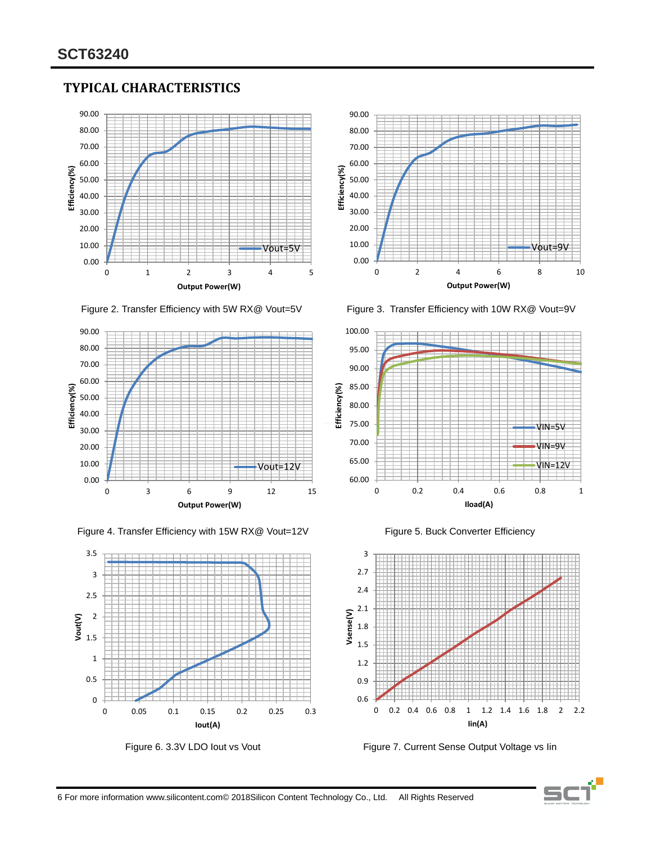# **TYPICAL CHARACTERISTICS**





Figure 2. Transfer Efficiency with 5W RX@ Vout=5V Figure 3. Transfer Efficiency with 10W RX@ Vout=9V















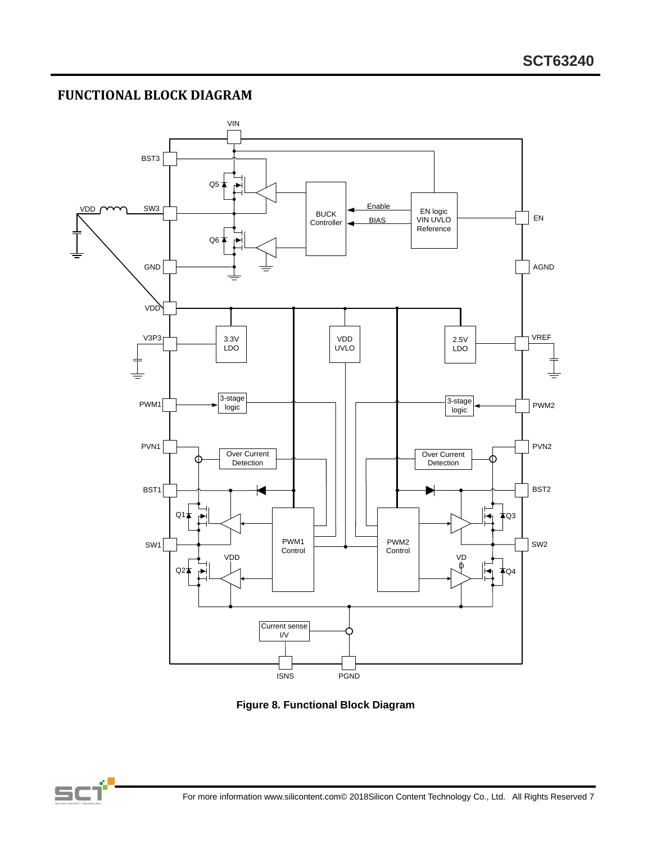# **FUNCTIONAL BLOCK DIAGRAM**



**Figure 8. Functional Block Diagram**

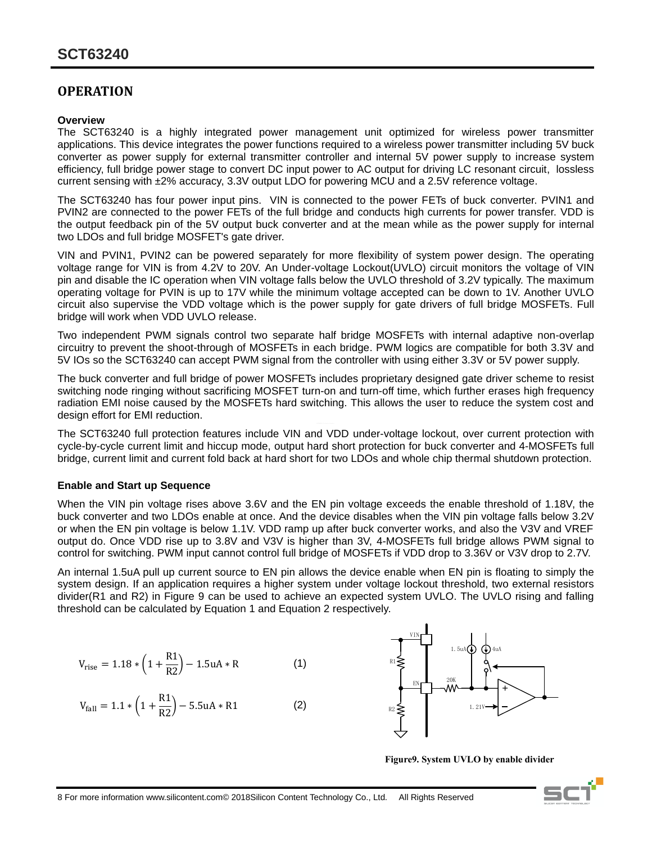# **OPERATION**

#### **Overview**

The SCT63240 is a highly integrated power management unit optimized for wireless power transmitter applications. This device integrates the power functions required to a wireless power transmitter including 5V buck converter as power supply for external transmitter controller and internal 5V power supply to increase system efficiency, full bridge power stage to convert DC input power to AC output for driving LC resonant circuit, lossless current sensing with ±2% accuracy, 3.3V output LDO for powering MCU and a 2.5V reference voltage.

The SCT63240 has four power input pins. VIN is connected to the power FETs of buck converter. PVIN1 and PVIN2 are connected to the power FETs of the full bridge and conducts high currents for power transfer. VDD is the output feedback pin of the 5V output buck converter and at the mean while as the power supply for internal two LDOs and full bridge MOSFET's gate driver.

VIN and PVIN1, PVIN2 can be powered separately for more flexibility of system power design. The operating voltage range for VIN is from 4.2V to 20V. An Under-voltage Lockout(UVLO) circuit monitors the voltage of VIN pin and disable the IC operation when VIN voltage falls below the UVLO threshold of 3.2V typically. The maximum operating voltage for PVIN is up to 17V while the minimum voltage accepted can be down to 1V. Another UVLO circuit also supervise the VDD voltage which is the power supply for gate drivers of full bridge MOSFETs. Full bridge will work when VDD UVLO release.

Two independent PWM signals control two separate half bridge MOSFETs with internal adaptive non-overlap circuitry to prevent the shoot-through of MOSFETs in each bridge. PWM logics are compatible for both 3.3V and 5V IOs so the SCT63240 can accept PWM signal from the controller with using either 3.3V or 5V power supply.

The buck converter and full bridge of power MOSFETs includes proprietary designed gate driver scheme to resist switching node ringing without sacrificing MOSFET turn-on and turn-off time, which further erases high frequency radiation EMI noise caused by the MOSFETs hard switching. This allows the user to reduce the system cost and design effort for EMI reduction.

The SCT63240 full protection features include VIN and VDD under-voltage lockout, over current protection with cycle-by-cycle current limit and hiccup mode, output hard short protection for buck converter and 4-MOSFETs full bridge, current limit and current fold back at hard short for two LDOs and whole chip thermal shutdown protection.

#### **Enable and Start up Sequence**

When the VIN pin voltage rises above 3.6V and the EN pin voltage exceeds the enable threshold of 1.18V, the buck converter and two LDOs enable at once. And the device disables when the VIN pin voltage falls below 3.2V or when the EN pin voltage is below 1.1V. VDD ramp up after buck converter works, and also the V3V and VREF output do. Once VDD rise up to 3.8V and V3V is higher than 3V, 4-MOSFETs full bridge allows PWM signal to control for switching. PWM input cannot control full bridge of MOSFETs if VDD drop to 3.36V or V3V drop to 2.7V.

An internal 1.5uA pull up current source to EN pin allows the device enable when EN pin is floating to simply the system design. If an application requires a higher system under voltage lockout threshold, two external resistors divider(R1 and R2) in Figure 9 can be used to achieve an expected system UVLO. The UVLO rising and falling threshold can be calculated by Equation 1 and Equation 2 respectively.

$$
V_{\text{rise}} = 1.18 * \left(1 + \frac{R1}{R2}\right) - 1.5uA * R \tag{1}
$$

$$
V_{fall} = 1.1 * \left(1 + \frac{R1}{R2}\right) - 5.5uA * R1
$$
 (2)



**Figure9. System UVLO by enable divider**

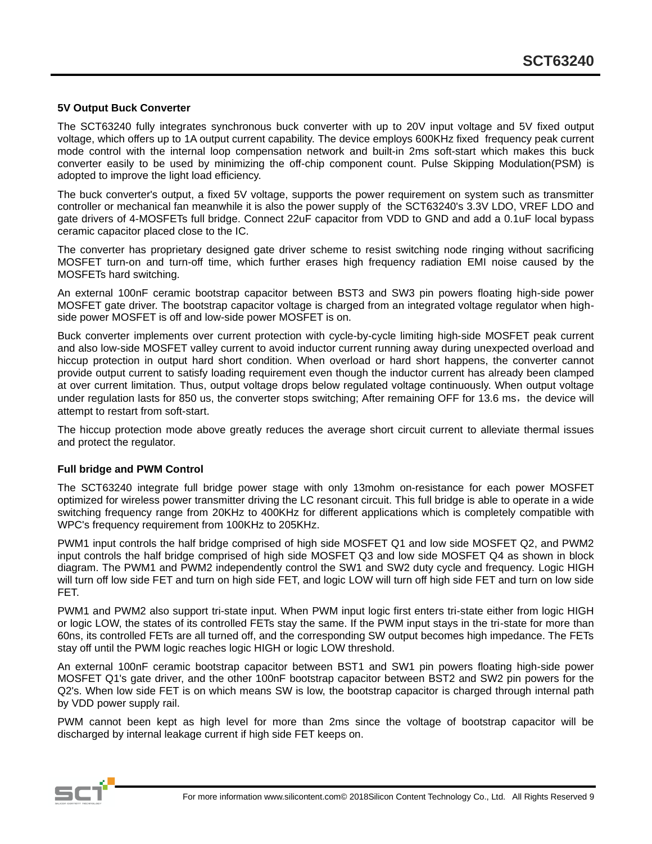#### **5V Output Buck Converter**

The SCT63240 fully integrates synchronous buck converter with up to 20V input voltage and 5V fixed output voltage, which offers up to 1A output current capability. The device employs 600KHz fixed frequency peak current mode control with the internal loop compensation network and built-in 2ms soft-start which makes this buck converter easily to be used by minimizing the off-chip component count. Pulse Skipping Modulation(PSM) is adopted to improve the light load efficiency.

The buck converter's output, a fixed 5V voltage, supports the power requirement on system such as transmitter controller or mechanical fan meanwhile it is also the power supply of the SCT63240's 3.3V LDO, VREF LDO and gate drivers of 4-MOSFETs full bridge. Connect 22uF capacitor from VDD to GND and add a 0.1uF local bypass ceramic capacitor placed close to the IC.

The converter has proprietary designed gate driver scheme to resist switching node ringing without sacrificing MOSFET turn-on and turn-off time, which further erases high frequency radiation EMI noise caused by the MOSFETs hard switching.

An external 100nF ceramic bootstrap capacitor between BST3 and SW3 pin powers floating high-side power MOSFET gate driver. The bootstrap capacitor voltage is charged from an integrated voltage regulator when highside power MOSFET is off and low-side power MOSFET is on.

Buck converter implements over current protection with cycle-by-cycle limiting high-side MOSFET peak current and also low-side MOSFET valley current to avoid inductor current running away during unexpected overload and hiccup protection in output hard short condition. When overload or hard short happens, the converter cannot provide output current to satisfy loading requirement even though the inductor current has already been clamped at over current limitation. Thus, output voltage drops below regulated voltage continuously. When output voltage under regulation lasts for 850 us, the converter stops switching; After remaining OFF for 13.6 ms, the device will attempt to restart from soft-start.

The hiccup protection mode above greatly reduces the average short circuit current to alleviate thermal issues and protect the regulator.

#### **Full bridge and PWM Control**

The SCT63240 integrate full bridge power stage with only 13mohm on-resistance for each power MOSFET optimized for wireless power transmitter driving the LC resonant circuit. This full bridge is able to operate in a wide switching frequency range from 20KHz to 400KHz for different applications which is completely compatible with WPC's frequency requirement from 100KHz to 205KHz.

PWM1 input controls the half bridge comprised of high side MOSFET Q1 and low side MOSFET Q2, and PWM2 input controls the half bridge comprised of high side MOSFET Q3 and low side MOSFET Q4 as shown in block diagram. The PWM1 and PWM2 independently control the SW1 and SW2 duty cycle and frequency. Logic HIGH will turn off low side FET and turn on high side FET, and logic LOW will turn off high side FET and turn on low side FET.

PWM1 and PWM2 also support tri-state input. When PWM input logic first enters tri-state either from logic HIGH or logic LOW, the states of its controlled FETs stay the same. If the PWM input stays in the tri-state for more than 60ns, its controlled FETs are all turned off, and the corresponding SW output becomes high impedance. The FETs stay off until the PWM logic reaches logic HIGH or logic LOW threshold.

An external 100nF ceramic bootstrap capacitor between BST1 and SW1 pin powers floating high-side power MOSFET Q1's gate driver, and the other 100nF bootstrap capacitor between BST2 and SW2 pin powers for the Q2's. When low side FET is on which means SW is low, the bootstrap capacitor is charged through internal path by VDD power supply rail.

PWM cannot been kept as high level for more than 2ms since the voltage of bootstrap capacitor will be discharged by internal leakage current if high side FET keeps on.

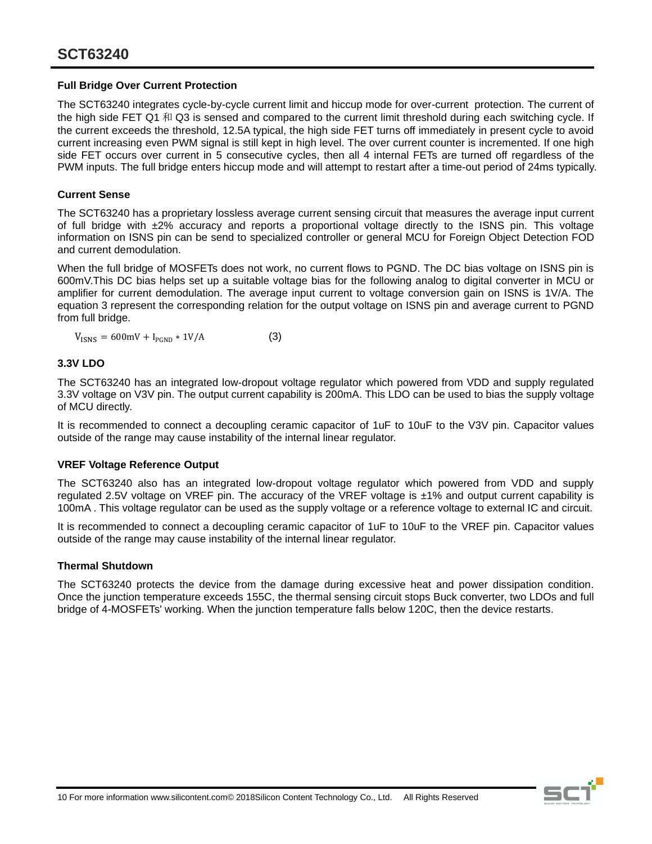#### **Full Bridge Over Current Protection**

The SCT63240 integrates cycle-by-cycle current limit and hiccup mode for over-current protection. The current of the high side FET Q1 和 Q3 is sensed and compared to the current limit threshold during each switching cycle. If the current exceeds the threshold, 12.5A typical, the high side FET turns off immediately in present cycle to avoid current increasing even PWM signal is still kept in high level. The over current counter is incremented. If one high side FET occurs over current in 5 consecutive cycles, then all 4 internal FETs are turned off regardless of the PWM inputs. The full bridge enters hiccup mode and will attempt to restart after a time-out period of 24ms typically.

#### **Current Sense**

The SCT63240 has a proprietary lossless average current sensing circuit that measures the average input current of full bridge with ±2% accuracy and reports a proportional voltage directly to the ISNS pin. This voltage information on ISNS pin can be send to specialized controller or general MCU for Foreign Object Detection FOD and current demodulation.

When the full bridge of MOSFETs does not work, no current flows to PGND. The DC bias voltage on ISNS pin is 600mV.This DC bias helps set up a suitable voltage bias for the following analog to digital converter in MCU or amplifier for current demodulation. The average input current to voltage conversion gain on ISNS is 1V/A. The equation 3 represent the corresponding relation for the output voltage on ISNS pin and average current to PGND from full bridge.

 $V_{\text{ISNS}} = 600 \text{mV} + I_{\text{PGND}} * 1 \text{V/A}$  (3)

#### **3.3V LDO**

The SCT63240 has an integrated low-dropout voltage regulator which powered from VDD and supply regulated 3.3V voltage on V3V pin. The output current capability is 200mA. This LDO can be used to bias the supply voltage of MCU directly.

It is recommended to connect a decoupling ceramic capacitor of 1uF to 10uF to the V3V pin. Capacitor values outside of the range may cause instability of the internal linear regulator.

#### **VREF Voltage Reference Output**

The SCT63240 also has an integrated low-dropout voltage regulator which powered from VDD and supply regulated 2.5V voltage on VREF pin. The accuracy of the VREF voltage is ±1% and output current capability is 100mA . This voltage regulator can be used as the supply voltage or a reference voltage to external IC and circuit.

It is recommended to connect a decoupling ceramic capacitor of 1uF to 10uF to the VREF pin. Capacitor values outside of the range may cause instability of the internal linear regulator.

#### **Thermal Shutdown**

The SCT63240 protects the device from the damage during excessive heat and power dissipation condition. Once the junction temperature exceeds 155C, the thermal sensing circuit stops Buck converter, two LDOs and full bridge of 4-MOSFETs' working. When the junction temperature falls below 120C, then the device restarts.

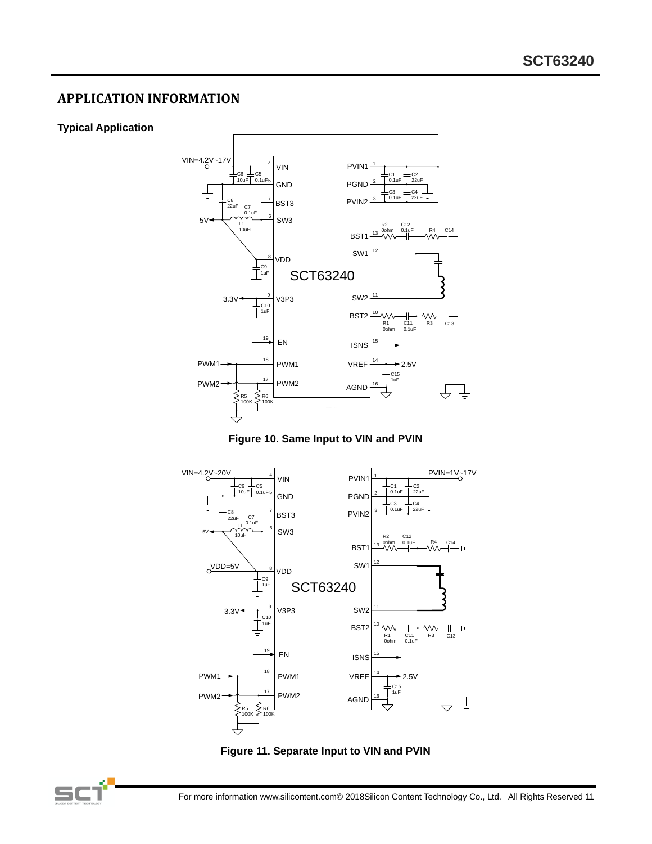# **APPLICATION INFORMATION**

#### **Typical Application**









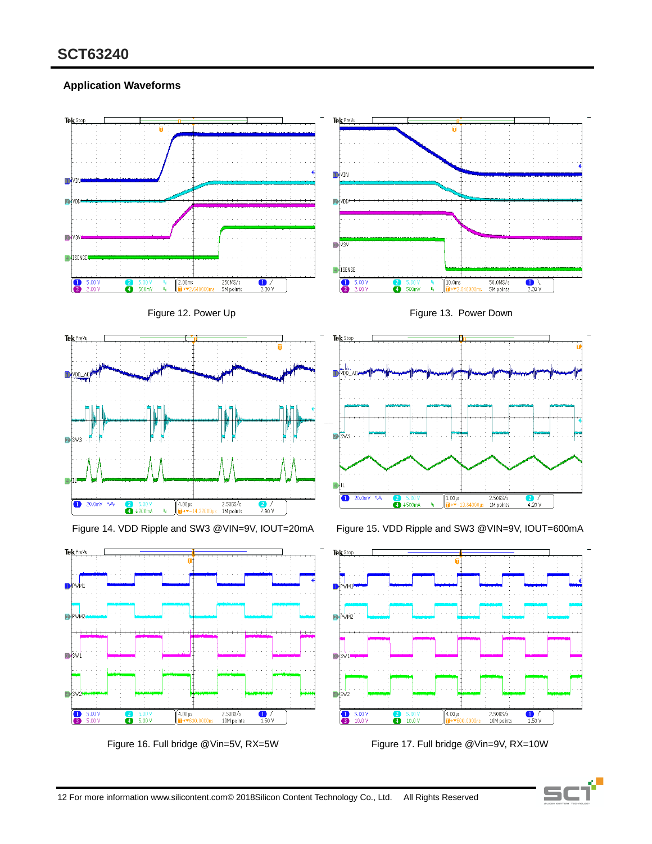### **Application Waveforms**



Figure 16. Full bridge @Vin=5V, RX=5W Figure 17. Full bridge @Vin=9V, RX=10W

12 For more information www.silicontent.com© 2018Silicon Content Technology Co., Ltd. All Rights Reserved

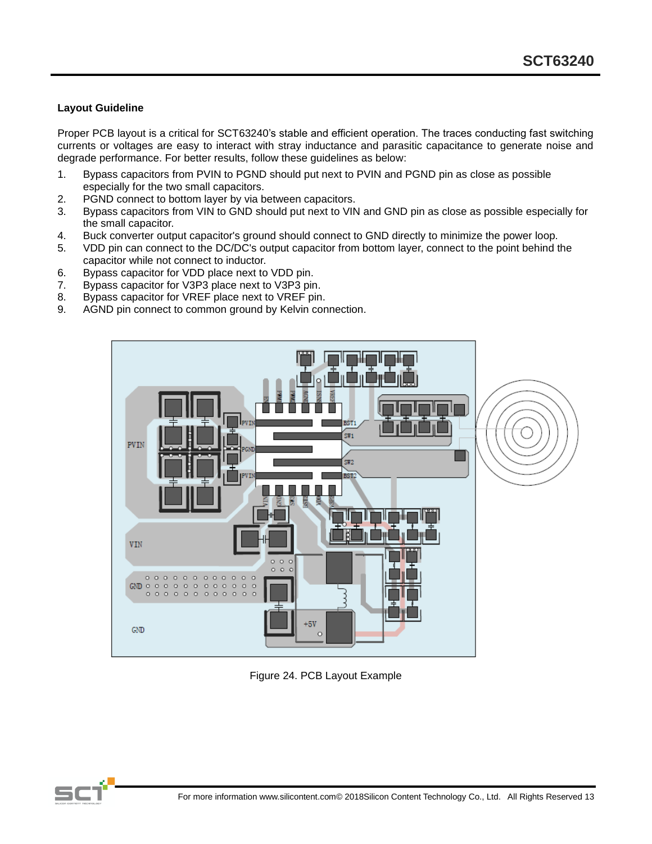#### **Layout Guideline**

Proper PCB layout is a critical for SCT63240's stable and efficient operation. The traces conducting fast switching currents or voltages are easy to interact with stray inductance and parasitic capacitance to generate noise and degrade performance. For better results, follow these guidelines as below:

- 1. Bypass capacitors from PVIN to PGND should put next to PVIN and PGND pin as close as possible especially for the two small capacitors.
- 2. PGND connect to bottom layer by via between capacitors.
- 3. Bypass capacitors from VIN to GND should put next to VIN and GND pin as close as possible especially for the small capacitor.
- 4. Buck converter output capacitor's ground should connect to GND directly to minimize the power loop.
- 5. VDD pin can connect to the DC/DC's output capacitor from bottom layer, connect to the point behind the capacitor while not connect to inductor.
- 6. Bypass capacitor for VDD place next to VDD pin.
- 7. Bypass capacitor for V3P3 place next to V3P3 pin.
- 8. Bypass capacitor for VREF place next to VREF pin.
- 9. AGND pin connect to common ground by Kelvin connection.



Figure 24. PCB Layout Example

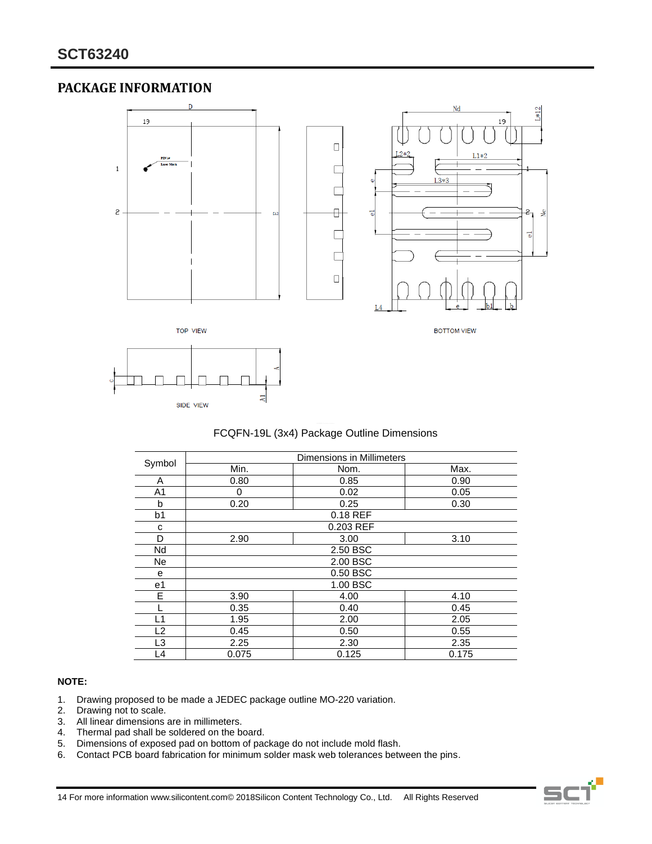# **PACKAGE INFORMATION**



#### FCQFN-19L (3x4) Package Outline Dimensions

|                |       | Dimensions in Millimeters |       |
|----------------|-------|---------------------------|-------|
| Symbol         | Min.  | Nom.                      | Max.  |
| A              | 0.80  | 0.85                      | 0.90  |
| A1             | 0     | 0.02                      | 0.05  |
| b              | 0.20  | 0.25                      | 0.30  |
| b1             |       | 0.18 REF                  |       |
| с              |       | 0.203 REF                 |       |
| D              | 2.90  | 3.00                      | 3.10  |
| Nd             |       | 2.50 BSC                  |       |
| <b>Ne</b>      |       | 2.00 BSC                  |       |
| e              |       | 0.50 BSC                  |       |
| e <sub>1</sub> |       | 1.00 BSC                  |       |
| E              | 3.90  | 4.00                      | 4.10  |
|                | 0.35  | 0.40                      | 0.45  |
| ∐1             | 1.95  | 2.00                      | 2.05  |
| L2             | 0.45  | 0.50                      | 0.55  |
| L3             | 2.25  | 2.30                      | 2.35  |
| L4             | 0.075 | 0.125                     | 0.175 |

#### **NOTE:**

- 1. Drawing proposed to be made a JEDEC package outline MO-220 variation.
- 2. Drawing not to scale.<br>3. All linear dimensions
- 3. All linear dimensions are in millimeters.<br>4. Thermal pad shall be soldered on the b
- Thermal pad shall be soldered on the board.
- 5. Dimensions of exposed pad on bottom of package do not include mold flash.
- 6. Contact PCB board fabrication for minimum solder mask web tolerances between the pins.

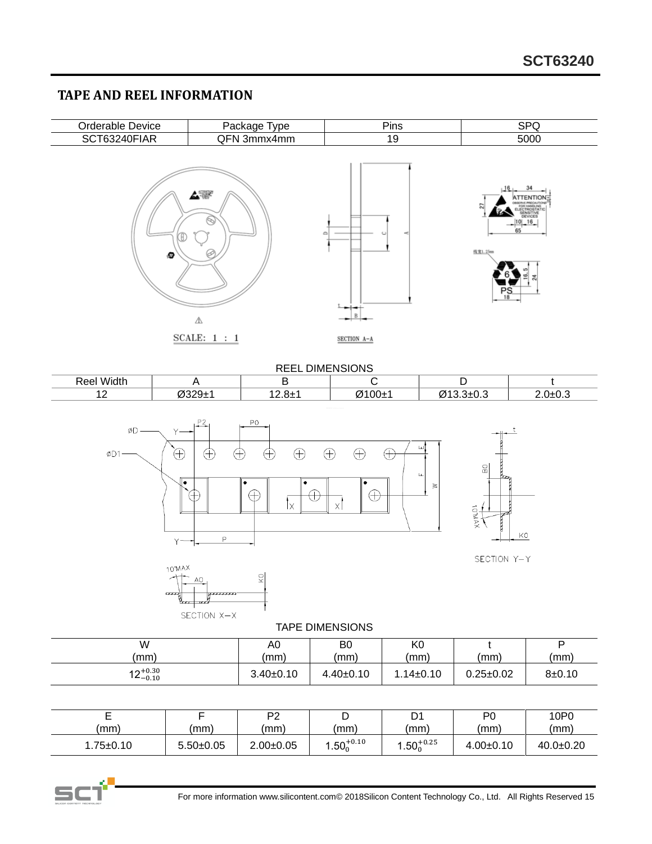# **TAPE AND REEL INFORMATION**

| Orderable Device | Package Type                | Pins             | <b>SPQ</b>                                                                                                                         |
|------------------|-----------------------------|------------------|------------------------------------------------------------------------------------------------------------------------------------|
| SCT63240FIAR     | QFN 3mmx4mm                 | 19               | 5000                                                                                                                               |
| Ð                | ⇘<br>2<br>⚠<br>SCALE: $1:1$ | ≏<br>SECTION A-A | 34<br>16 <sub>1</sub><br><b>ATTENTION:</b><br>COSERVE PRECAUTIONS<br>Ξ<br>$-\frac{ 10 -16}{65} $<br>线宽1.25mm<br>∞<br>ಸ<br>$P_{18}$ |

| <b>REEL DIMENSIONS</b> |        |                             |        |                |             |
|------------------------|--------|-----------------------------|--------|----------------|-------------|
| <b>Reel Width</b>      |        |                             |        |                |             |
| . .                    | ∼າາດ∓າ | $\overline{100}$<br>I∠.o± I | Ø100±1 | Ø13.3±0.3<br>∼ | $2.0 + 0.3$ |



SECTION Y-Y

KO



Ő

TAPE DIMENSIONS

| W                    | A0          | B0              | K0              | (mm)            | D        |
|----------------------|-------------|-----------------|-----------------|-----------------|----------|
| mm)                  | (mm)        | (mm)            | (mm)            |                 | (mm)     |
| $12^{+0.30}_{-0.10}$ | $3.40+0.10$ | $4.40 \pm 0.10$ | $1.14 \pm 0.10$ | $0.25 \pm 0.02$ | $8+0.10$ |

|            |             | P2              | ◡                 | D1                | P0          | 10P0        |
|------------|-------------|-----------------|-------------------|-------------------|-------------|-------------|
| (mm)       | (mm)        | (mm)            | (mm)              | (mm)              | (mm)        | (mm)        |
| . .75±0.10 | $5.50+0.05$ | $2.00 \pm 0.05$ | $.50^{+0.10}_{0}$ | $.50^{+0.25}_{0}$ | $4.00+0.10$ | $40.0+0.20$ |